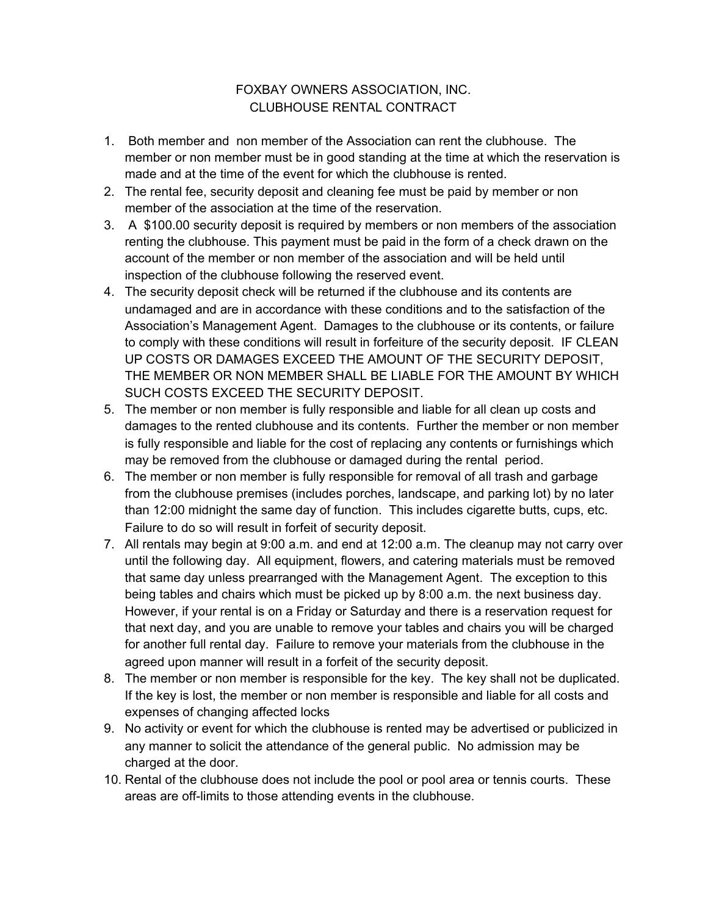## FOXBAY OWNERS ASSOCIATION, INC. CLUBHOUSE RENTAL CONTRACT

- 1. Both member and non member of the Association can rent the clubhouse. The member or non member must be in good standing at the time at which the reservation is made and at the time of the event for which the clubhouse is rented.
- 2. The rental fee, security deposit and cleaning fee must be paid by member or non member of the association at the time of the reservation.
- 3. A \$100.00 security deposit is required by members or non members of the association renting the clubhouse. This payment must be paid in the form of a check drawn on the account of the member or non member of the association and will be held until inspection of the clubhouse following the reserved event.
- 4. The security deposit check will be returned if the clubhouse and its contents are undamaged and are in accordance with these conditions and to the satisfaction of the Association's Management Agent. Damages to the clubhouse or its contents, or failure to comply with these conditions will result in forfeiture of the security deposit. IF CLEAN UP COSTS OR DAMAGES EXCEED THE AMOUNT OF THE SECURITY DEPOSIT, THE MEMBER OR NON MEMBER SHALL BE LIABLE FOR THE AMOUNT BY WHICH SUCH COSTS EXCEED THE SECURITY DEPOSIT.
- 5. The member or non member is fully responsible and liable for all clean up costs and damages to the rented clubhouse and its contents. Further the member or non member is fully responsible and liable for the cost of replacing any contents or furnishings which may be removed from the clubhouse or damaged during the rental period.
- 6. The member or non member is fully responsible for removal of all trash and garbage from the clubhouse premises (includes porches, landscape, and parking lot) by no later than 12:00 midnight the same day of function. This includes cigarette butts, cups, etc. Failure to do so will result in forfeit of security deposit.
- 7. All rentals may begin at 9:00 a.m. and end at 12:00 a.m. The cleanup may not carry over until the following day. All equipment, flowers, and catering materials must be removed that same day unless prearranged with the Management Agent. The exception to this being tables and chairs which must be picked up by 8:00 a.m. the next business day. However, if your rental is on a Friday or Saturday and there is a reservation request for that next day, and you are unable to remove your tables and chairs you will be charged for another full rental day. Failure to remove your materials from the clubhouse in the agreed upon manner will result in a forfeit of the security deposit.
- 8. The member or non member is responsible for the key. The key shall not be duplicated. If the key is lost, the member or non member is responsible and liable for all costs and expenses of changing affected locks
- 9. No activity or event for which the clubhouse is rented may be advertised or publicized in any manner to solicit the attendance of the general public. No admission may be charged at the door.
- 10. Rental of the clubhouse does not include the pool or pool area or tennis courts. These areas are off-limits to those attending events in the clubhouse.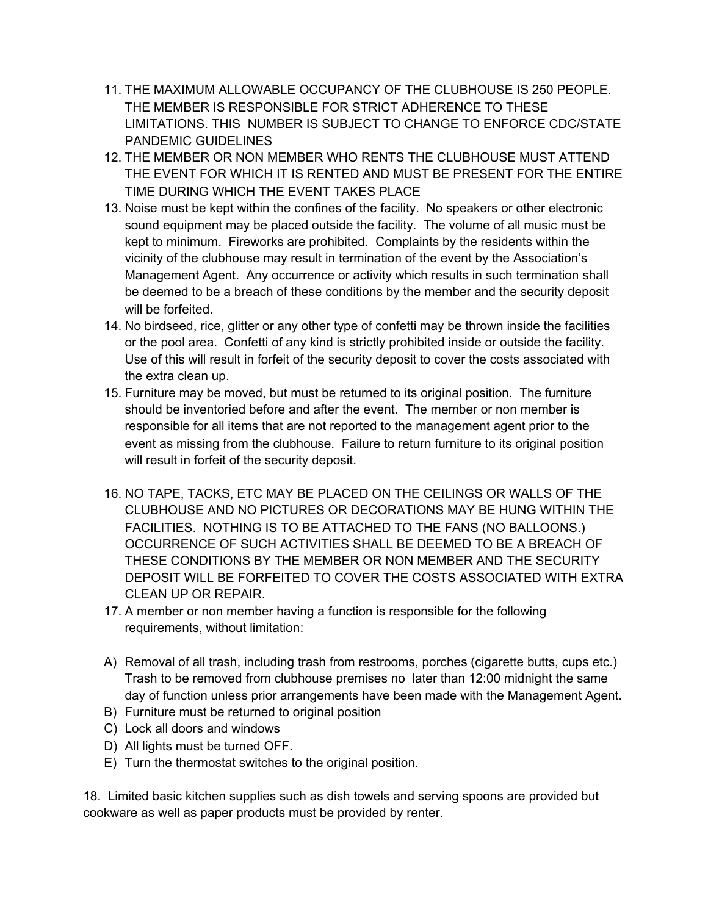- 11. THE MAXIMUM ALLOWABLE OCCUPANCY OF THE CLUBHOUSE IS 250 PEOPLE. THE MEMBER IS RESPONSIBLE FOR STRICT ADHERENCE TO THESE LIMITATIONS. THIS NUMBER IS SUBJECT TO CHANGE TO ENFORCE CDC/STATE PANDEMIC GUIDELINES
- 12. THE MEMBER OR NON MEMBER WHO RENTS THE CLUBHOUSE MUST ATTEND THE EVENT FOR WHICH IT IS RENTED AND MUST BE PRESENT FOR THE ENTIRE TIME DURING WHICH THE EVENT TAKES PLACE
- 13. Noise must be kept within the confines of the facility. No speakers or other electronic sound equipment may be placed outside the facility. The volume of all music must be kept to minimum. Fireworks are prohibited. Complaints by the residents within the vicinity of the clubhouse may result in termination of the event by the Association's Management Agent. Any occurrence or activity which results in such termination shall be deemed to be a breach of these conditions by the member and the security deposit will be forfeited.
- 14. No birdseed, rice, glitter or any other type of confetti may be thrown inside the facilities or the pool area. Confetti of any kind is strictly prohibited inside or outside the facility. Use of this will result in forfeit of the security deposit to cover the costs associated with the extra clean up.
- 15. Furniture may be moved, but must be returned to its original position. The furniture should be inventoried before and after the event. The member or non member is responsible for all items that are not reported to the management agent prior to the event as missing from the clubhouse. Failure to return furniture to its original position will result in forfeit of the security deposit.
- 16. NO TAPE, TACKS, ETC MAY BE PLACED ON THE CEILINGS OR WALLS OF THE CLUBHOUSE AND NO PICTURES OR DECORATIONS MAY BE HUNG WITHIN THE FACILITIES. NOTHING IS TO BE ATTACHED TO THE FANS (NO BALLOONS.) OCCURRENCE OF SUCH ACTIVITIES SHALL BE DEEMED TO BE A BREACH OF THESE CONDITIONS BY THE MEMBER OR NON MEMBER AND THE SECURITY DEPOSIT WILL BE FORFEITED TO COVER THE COSTS ASSOCIATED WITH EXTRA CLEAN UP OR REPAIR.
- 17. A member or non member having a function is responsible for the following requirements, without limitation:
- A) Removal of all trash, including trash from restrooms, porches (cigarette butts, cups etc.) Trash to be removed from clubhouse premises no later than 12:00 midnight the same day of function unless prior arrangements have been made with the Management Agent.
- B) Furniture must be returned to original position
- C) Lock all doors and windows
- D) All lights must be turned OFF.
- E) Turn the thermostat switches to the original position.

18. Limited basic kitchen supplies such as dish towels and serving spoons are provided but cookware as well as paper products must be provided by renter.